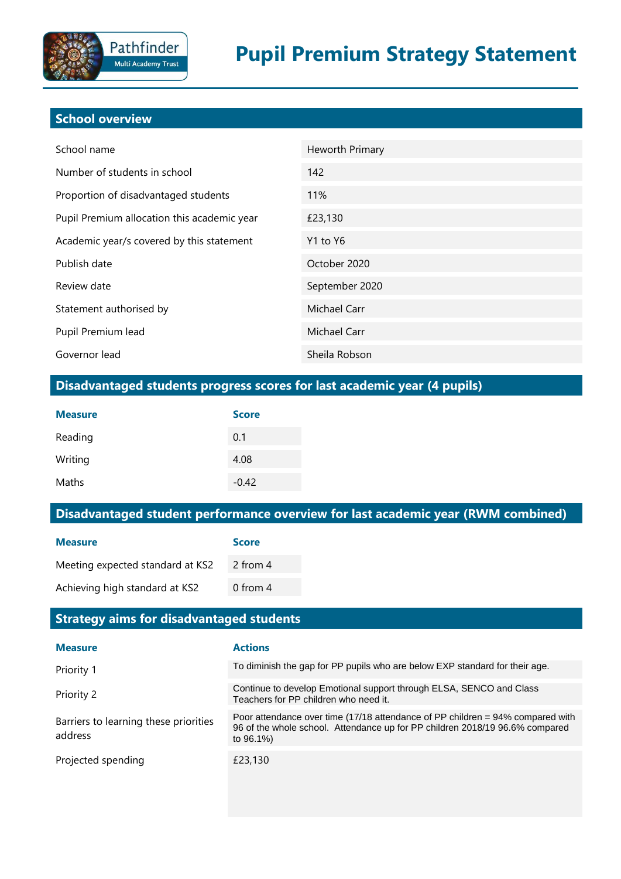# **School overview**

| School name                                 | Heworth Primary |
|---------------------------------------------|-----------------|
| Number of students in school                | 142             |
| Proportion of disadvantaged students        | 11%             |
| Pupil Premium allocation this academic year | £23,130         |
| Academic year/s covered by this statement   | Y1 to Y6        |
| Publish date                                | October 2020    |
| Review date                                 | September 2020  |
| Statement authorised by                     | Michael Carr    |
| Pupil Premium lead                          | Michael Carr    |
| Governor lead                               | Sheila Robson   |

## **Disadvantaged students progress scores for last academic year (4 pupils)**

| <b>Measure</b> | <b>Score</b> |
|----------------|--------------|
| Reading        | 0.1          |
| Writing        | 4.08         |
| Maths          | $-0.42$      |

# **Disadvantaged student performance overview for last academic year (RWM combined)**

| <b>Measure</b>                   | <b>Score</b> |
|----------------------------------|--------------|
| Meeting expected standard at KS2 | 2 from 4     |
| Achieving high standard at KS2   | 0 from $4$   |

### **Strategy aims for disadvantaged students**

| <b>Measure</b>                                   | <b>Actions</b>                                                                                                                                                                  |
|--------------------------------------------------|---------------------------------------------------------------------------------------------------------------------------------------------------------------------------------|
| Priority 1                                       | To diminish the gap for PP pupils who are below EXP standard for their age.                                                                                                     |
| Priority 2                                       | Continue to develop Emotional support through ELSA, SENCO and Class<br>Teachers for PP children who need it.                                                                    |
| Barriers to learning these priorities<br>address | Poor attendance over time $(17/18$ attendance of PP children = 94% compared with<br>96 of the whole school. Attendance up for PP children 2018/19 96.6% compared<br>to $96.1\%$ |
| Projected spending                               | £23,130                                                                                                                                                                         |
|                                                  |                                                                                                                                                                                 |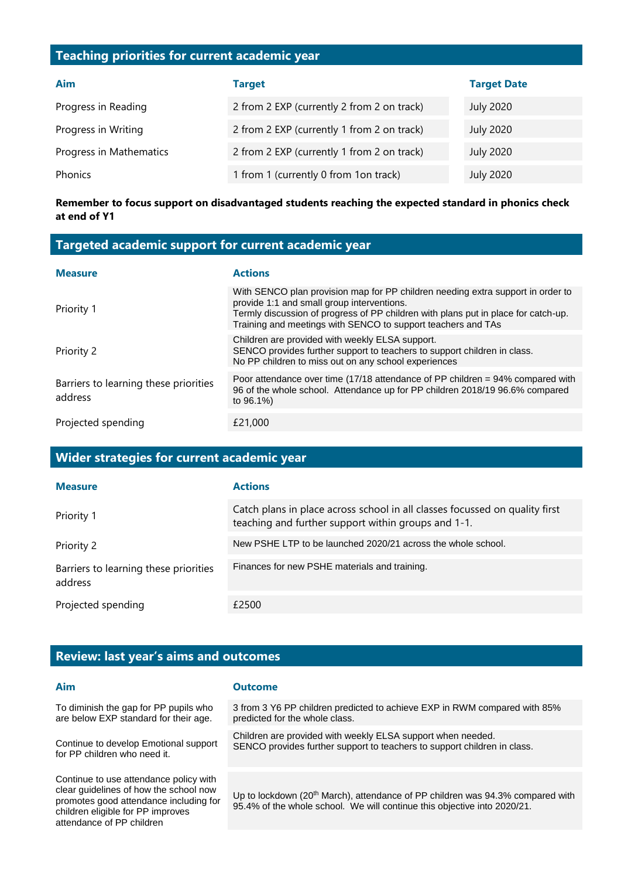### **Teaching priorities for current academic year**

| Aim                     | <b>Target</b>                              | <b>Target Date</b> |
|-------------------------|--------------------------------------------|--------------------|
| Progress in Reading     | 2 from 2 EXP (currently 2 from 2 on track) | <b>July 2020</b>   |
| Progress in Writing     | 2 from 2 EXP (currently 1 from 2 on track) | <b>July 2020</b>   |
| Progress in Mathematics | 2 from 2 EXP (currently 1 from 2 on track) | <b>July 2020</b>   |
| Phonics                 | 1 from 1 (currently 0 from 1on track)      | <b>July 2020</b>   |

#### **Remember to focus support on disadvantaged students reaching the expected standard in phonics check at end of Y1**

| Targeted academic support for current academic year |                                                                                                                                                                                                                                                                                     |  |
|-----------------------------------------------------|-------------------------------------------------------------------------------------------------------------------------------------------------------------------------------------------------------------------------------------------------------------------------------------|--|
| <b>Measure</b>                                      | <b>Actions</b>                                                                                                                                                                                                                                                                      |  |
| Priority 1                                          | With SENCO plan provision map for PP children needing extra support in order to<br>provide 1:1 and small group interventions.<br>Termly discussion of progress of PP children with plans put in place for catch-up.<br>Training and meetings with SENCO to support teachers and TAs |  |
| Priority 2                                          | Children are provided with weekly ELSA support.<br>SENCO provides further support to teachers to support children in class.<br>No PP children to miss out on any school experiences                                                                                                 |  |
| Barriers to learning these priorities<br>address    | Poor attendance over time (17/18 attendance of PP children = 94% compared with<br>96 of the whole school. Attendance up for PP children 2018/19 96.6% compared<br>to 96.1%)                                                                                                         |  |
| Projected spending                                  | £21,000                                                                                                                                                                                                                                                                             |  |

### **Wider strategies for current academic year**

| <b>Measure</b>                                   | <b>Actions</b>                                                                                                                     |
|--------------------------------------------------|------------------------------------------------------------------------------------------------------------------------------------|
| Priority 1                                       | Catch plans in place across school in all classes focussed on quality first<br>teaching and further support within groups and 1-1. |
| Priority 2                                       | New PSHE LTP to be launched 2020/21 across the whole school.                                                                       |
| Barriers to learning these priorities<br>address | Finances for new PSHE materials and training.                                                                                      |
| Projected spending                               | £2500                                                                                                                              |

#### **Review: last year's aims and outcomes**

#### **Aim Outcome**

To diminish the gap for PP pupils who are below EXP standard for their age.

Continue to develop Emotional support for PP children who need it.

Continue to use attendance policy with clear guidelines of how the school now promotes good attendance including for children eligible for PP improves attendance of PP children

3 from 3 Y6 PP children predicted to achieve EXP in RWM compared with 85% predicted for the whole class.

Children are provided with weekly ELSA support when needed. SENCO provides further support to teachers to support children in class.

Up to lockdown (20<sup>th</sup> March), attendance of PP children was 94.3% compared with 95.4% of the whole school. We will continue this objective into 2020/21.